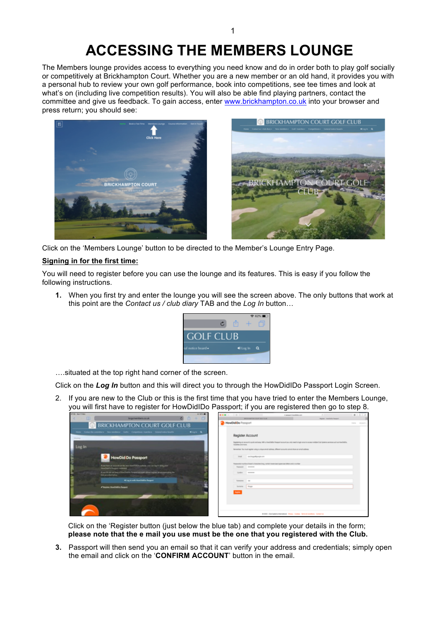## **ACCESSING THE MEMBERS LOUNGE**

The Members lounge provides access to everything you need know and do in order both to play golf socially or competitively at Brickhampton Court. Whether you are a new member or an old hand, it provides you with a personal hub to review your own golf performance, book into competitions, see tee times and look at what's on (including live competition results). You will also be able find playing partners, contact the committee and give us feedback. To gain access, enter www.brickhampton.co.uk into your browser and press return; you should see:



Click on the 'Members Lounge' button to be directed to the Member's Lounge Entry Page.

## **Signing in for the first time:**

You will need to register before you can use the lounge and its features. This is easy if you follow the following instructions.

**1.** When you first try and enter the lounge you will see the screen above. The only buttons that work at this point are the *Contact us / club diary* TAB and the *Log In* button…



….situated at the top right hand corner of the screen.

Click on the *Log In* button and this will direct you to through the HowDidIDo Passport Login Screen.

2. If you are new to the Club or this is the first time that you have tried to enter the Members Lounge, you will first have to register for HowDidIDo Passport; if you are registered then go to step 8.

| <b>STORE BUSINESS</b><br>œ | beginniters real.                                                                                                                 | <b><i>REG.</i></b><br>$0 + 0$<br>a | <b>BAR 4 3 8 8 11</b>                 | <b>RECEIVING THE COURT SEAT TULE</b>                                                                             | 12 percent insertible com-                                                                                  | <b>Register - Hawtherto Passent</b>                                                                                                                                | 0.01               |
|----------------------------|-----------------------------------------------------------------------------------------------------------------------------------|------------------------------------|---------------------------------------|------------------------------------------------------------------------------------------------------------------|-------------------------------------------------------------------------------------------------------------|--------------------------------------------------------------------------------------------------------------------------------------------------------------------|--------------------|
|                            | <b>BRICKHAMPTON COURT GOLF CLUB</b>                                                                                               |                                    | HowDid De Pessport                    |                                                                                                                  |                                                                                                             |                                                                                                                                                                    | FRENZ - Marchael A |
| 25 percent                 | Here Constitutionments for produce Colly Constitute maders. Constitutionly,                                                       | <b>Klink Q.</b>                    |                                       | Register Account                                                                                                 |                                                                                                             |                                                                                                                                                                    |                    |
| Log In                     |                                                                                                                                   |                                    | <b>Furniture and more</b>             |                                                                                                                  |                                                                                                             | Registering on account is split and pay. While Hospitalities Research and only research doget once to access multiple Club Systems services such as Hospitalities. |                    |
|                            | <b>HowDid Do Passport</b>                                                                                                         |                                    |                                       | Email - Los Enquirements com                                                                                     | forward on the must register using a unique amed seldered. Offerent accounts connel above an amed seldered. |                                                                                                                                                                    |                    |
|                            | First-har as already or the text Haulf Ellis subsite, you can be it using your<br>Headlett's Require credental                    |                                    |                                       | Foresterio must be of test to changing for go contain terrestrial approves taken and a munitar<br>Report Andrews |                                                                                                             |                                                                                                                                                                    |                    |
|                            | If you like that yet house a free a finish to Porquest at track plane ingriter an account plane the<br><b>Ink provided letter</b> |                                    |                                       | Carlina www.                                                                                                     |                                                                                                             |                                                                                                                                                                    |                    |
|                            | Wing is with Hamilton Pergeri<br><b>A Resident Hunditection Processor</b>                                                         |                                    | <b>Searcher Card</b><br>Synamic Engar |                                                                                                                  |                                                                                                             |                                                                                                                                                                    |                    |
|                            | E BYTER                                                                                                                           |                                    | -                                     |                                                                                                                  |                                                                                                             |                                                                                                                                                                    |                    |
|                            |                                                                                                                                   |                                    |                                       |                                                                                                                  |                                                                                                             |                                                                                                                                                                    |                    |
|                            |                                                                                                                                   |                                    |                                       |                                                                                                                  | 4 555 Out bears manufaced. Prices: Collisie. Terms & Condition. Companies                                   |                                                                                                                                                                    |                    |

Click on the 'Register button (just below the blue tab) and complete your details in the form; **please note that the e mail you use must be the one that you registered with the Club.**

**3.** Passport will then send you an email so that it can verify your address and credentials; simply open the email and click on the '**CONFIRM ACCOUNT**' button in the email.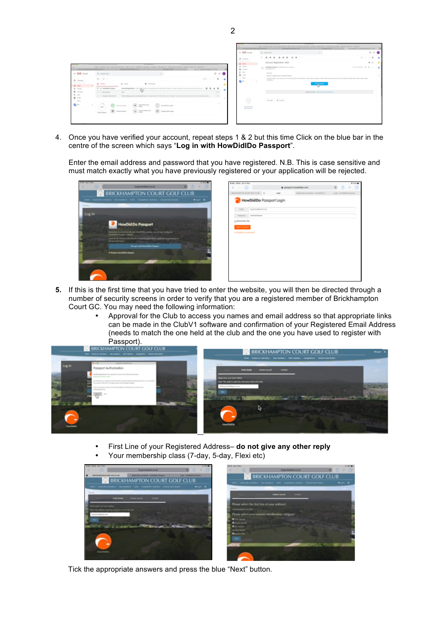

4. Once you have verified your account, repeat steps 1 & 2 but this time Click on the blue bar in the centre of the screen which says "**Log in with HowDidIDo Passport**".

Enter the email address and password that you have registered. N.B. This is case sensitive and must match exactly what you have previously registered or your application will be rejected.



| $\rightarrow$ $\pm$<br>6 O<br>$+o$<br>· pansport.howdidds.com<br>Registration Executives - Headquilles R.,<br><b>Congress</b><br>Scale / Hospitality Associate<br><b>HowDidiDo</b> Passport Login<br><b>Shall - Tegcheodynation</b><br>Parameters<br>*********** | ¢<br>BRONNAPTON COURT GOUP EUR   G<br>(1) Remomber Ma<br><b>Logicity President</b><br><b>Factoryster</b> museumont | 中部書 |
|------------------------------------------------------------------------------------------------------------------------------------------------------------------------------------------------------------------------------------------------------------------|--------------------------------------------------------------------------------------------------------------------|-----|
|                                                                                                                                                                                                                                                                  |                                                                                                                    |     |
|                                                                                                                                                                                                                                                                  |                                                                                                                    |     |
|                                                                                                                                                                                                                                                                  |                                                                                                                    |     |
|                                                                                                                                                                                                                                                                  |                                                                                                                    |     |
|                                                                                                                                                                                                                                                                  |                                                                                                                    |     |
|                                                                                                                                                                                                                                                                  |                                                                                                                    |     |
|                                                                                                                                                                                                                                                                  |                                                                                                                    |     |
|                                                                                                                                                                                                                                                                  |                                                                                                                    |     |
|                                                                                                                                                                                                                                                                  |                                                                                                                    |     |
|                                                                                                                                                                                                                                                                  |                                                                                                                    |     |
|                                                                                                                                                                                                                                                                  |                                                                                                                    |     |
|                                                                                                                                                                                                                                                                  |                                                                                                                    |     |
|                                                                                                                                                                                                                                                                  |                                                                                                                    |     |
|                                                                                                                                                                                                                                                                  |                                                                                                                    |     |
|                                                                                                                                                                                                                                                                  |                                                                                                                    |     |
|                                                                                                                                                                                                                                                                  |                                                                                                                    |     |
|                                                                                                                                                                                                                                                                  |                                                                                                                    |     |
|                                                                                                                                                                                                                                                                  |                                                                                                                    |     |
|                                                                                                                                                                                                                                                                  |                                                                                                                    |     |
|                                                                                                                                                                                                                                                                  |                                                                                                                    |     |
|                                                                                                                                                                                                                                                                  |                                                                                                                    |     |
|                                                                                                                                                                                                                                                                  |                                                                                                                    |     |
|                                                                                                                                                                                                                                                                  |                                                                                                                    |     |
|                                                                                                                                                                                                                                                                  |                                                                                                                    |     |
|                                                                                                                                                                                                                                                                  |                                                                                                                    |     |
|                                                                                                                                                                                                                                                                  |                                                                                                                    |     |
|                                                                                                                                                                                                                                                                  |                                                                                                                    |     |
|                                                                                                                                                                                                                                                                  |                                                                                                                    |     |
|                                                                                                                                                                                                                                                                  |                                                                                                                    |     |
|                                                                                                                                                                                                                                                                  |                                                                                                                    |     |
|                                                                                                                                                                                                                                                                  |                                                                                                                    |     |
|                                                                                                                                                                                                                                                                  |                                                                                                                    |     |
|                                                                                                                                                                                                                                                                  |                                                                                                                    |     |
|                                                                                                                                                                                                                                                                  |                                                                                                                    |     |

- **5.** If this is the first time that you have tried to enter the website, you will then be directed through a number of security screens in order to verify that you are a registered member of Brickhampton Court GC. You may need the following information:
	- Approval for the Club to access you names and email address so that appropriate links can be made in the ClubV1 software and confirmation of your Registered Email Address (needs to match the one held at the club and the one you have used to register with Passport).



- First Line of your Registered Address– **do not give any other reply**
- Your membership class (7-day, 5-day, Flexi etc)



Tick the appropriate answers and press the blue "Next" button.

2